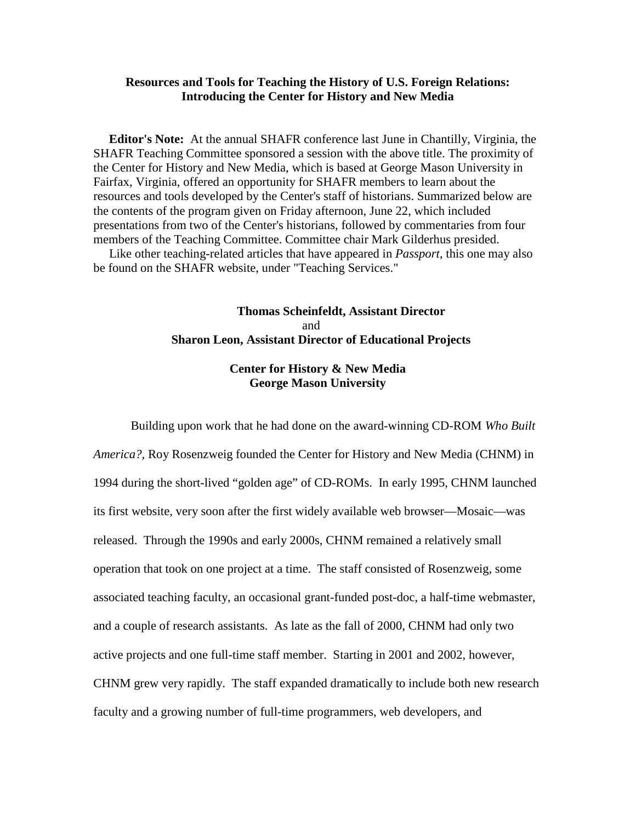## **Resources and Tools for Teaching the History of U.S. Foreign Relations: Introducing the Center for History and New Media**

 **Editor's Note:** At the annual SHAFR conference last June in Chantilly, Virginia, the SHAFR Teaching Committee sponsored a session with the above title. The proximity of the Center for History and New Media, which is based at George Mason University in Fairfax, Virginia, offered an opportunity for SHAFR members to learn about the resources and tools developed by the Center's staff of historians. Summarized below are the contents of the program given on Friday afternoon, June 22, which included presentations from two of the Center's historians, followed by commentaries from four members of the Teaching Committee. Committee chair Mark Gilderhus presided.

 Like other teaching-related articles that have appeared in *Passport*, this one may also be found on the SHAFR website, under "Teaching Services."

# **Thomas Scheinfeldt, Assistant Director** and **Sharon Leon, Assistant Director of Educational Projects**

## **Center for History & New Media George Mason University**

Building upon work that he had done on the award-winning CD-ROM *Who Built America?,* Roy Rosenzweig founded the Center for History and New Media (CHNM) in 1994 during the short-lived "golden age" of CD-ROMs. In early 1995, CHNM launched its first website, very soon after the first widely available web browser—Mosaic—was released. Through the 1990s and early 2000s, CHNM remained a relatively small operation that took on one project at a time. The staff consisted of Rosenzweig, some associated teaching faculty, an occasional grant-funded post-doc, a half-time webmaster, and a couple of research assistants. As late as the fall of 2000, CHNM had only two active projects and one full-time staff member. Starting in 2001 and 2002, however, CHNM grew very rapidly. The staff expanded dramatically to include both new research faculty and a growing number of full-time programmers, web developers, and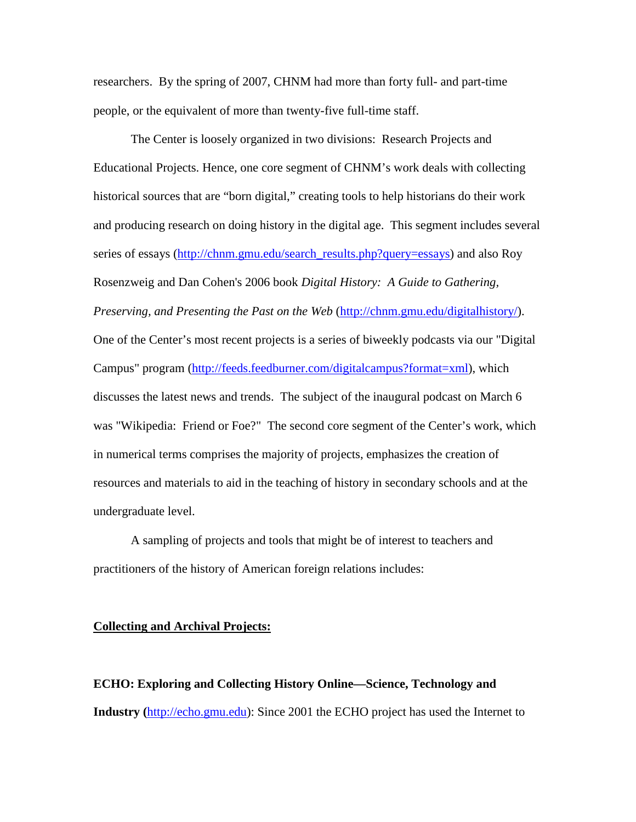researchers. By the spring of 2007, CHNM had more than forty full- and part-time people, or the equivalent of more than twenty-five full-time staff.

The Center is loosely organized in two divisions: Research Projects and Educational Projects. Hence, one core segment of CHNM's work deals with collecting historical sources that are "born digital," creating tools to help historians do their work and producing research on doing history in the digital age. This segment includes several series of essays [\(http://chnm.gmu.edu/search\\_results.php?query=essays\)](http://chnm.gmu.edu/search_results.php?query=essays) and also Roy Rosenzweig and Dan Cohen's 2006 book *Digital History: A Guide to Gathering, Preserving, and Presenting the Past on the Web* [\(http://chnm.gmu.edu/digitalhistory/\)](http://chnm.gmu.edu/digitalhistory/). One of the Center's most recent projects is a series of biweekly podcasts via our "Digital Campus" program [\(http://feeds.feedburner.com/digitalcampus?format=xml\)](http://feeds.feedburner.com/digitalcampus?format=xml), which discusses the latest news and trends. The subject of the inaugural podcast on March 6 was "Wikipedia: Friend or Foe?" The second core segment of the Center's work, which in numerical terms comprises the majority of projects, emphasizes the creation of resources and materials to aid in the teaching of history in secondary schools and at the undergraduate level.

A sampling of projects and tools that might be of interest to teachers and practitioners of the history of American foreign relations includes:

## **Collecting and Archival Projects:**

**ECHO: Exploring and Collecting History Online—Science, Technology and Industry (**[http://echo.gmu.edu\)](http://echo.gmu.edu/): Since 2001 the ECHO project has used the Internet to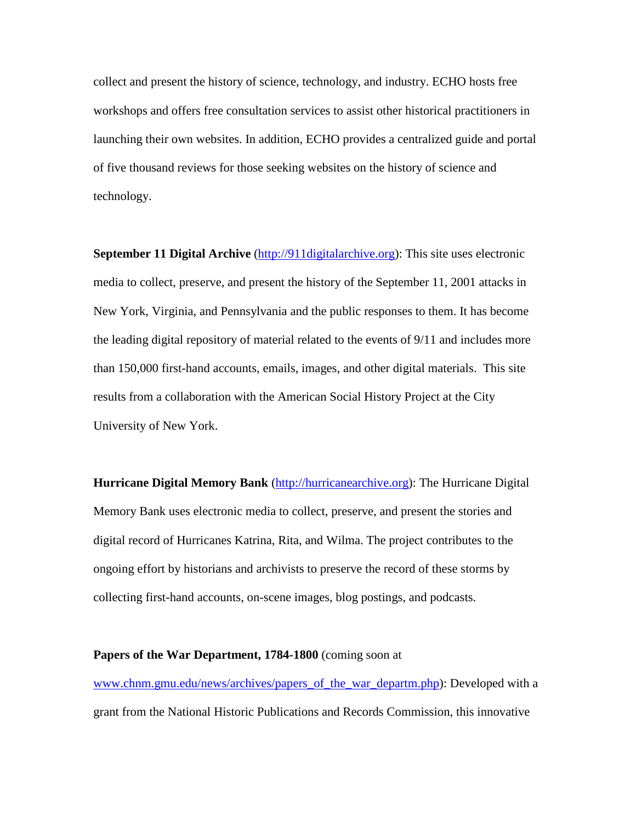collect and present the history of science, technology, and industry. ECHO hosts free workshops and offers free consultation services to assist other historical practitioners in launching their own websites. In addition, ECHO provides a centralized guide and portal of five thousand reviews for those seeking websites on the history of science and technology.

**September 11 Digital Archive** [\(http://911digitalarchive.org\)](http://911digitalarchive.org/): This site uses electronic media to collect, preserve, and present the history of the September 11, 2001 attacks in New York, Virginia, and Pennsylvania and the public responses to them. It has become the leading digital repository of material related to the events of 9/11 and includes more than 150,000 first-hand accounts, emails, images, and other digital materials. This site results from a collaboration with the American Social History Project at the City University of New York.

**Hurricane Digital Memory Bank** [\(http://hurricanearchive.org\)](http://hurricanearchive.org/): The Hurricane Digital Memory Bank uses electronic media to collect, preserve, and present the stories and digital record of Hurricanes Katrina, Rita, and Wilma. The project contributes to the ongoing effort by historians and archivists to preserve the record of these storms by collecting first-hand accounts, on-scene images, blog postings, and podcasts.

#### **Papers of the War Department, 1784-1800** (coming soon at

www.chnm.gmu.edu/news/archives/papers\_of\_the\_war\_departm.php): Developed with a grant from the National Historic Publications and Records Commission, this innovative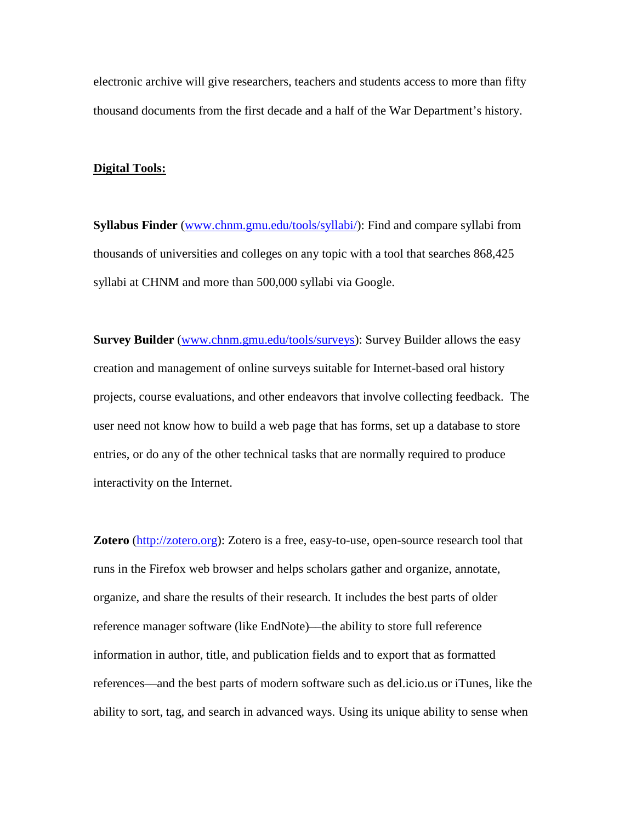electronic archive will give researchers, teachers and students access to more than fifty thousand documents from the first decade and a half of the War Department's history.

#### **Digital Tools:**

**Syllabus Finder** [\(www.chnm.gmu.edu/tools/syllabi/\)](http://www.chnm.gmu.edu/tools/syllabi/): Find and compare syllabi from thousands of universities and colleges on any topic with a tool that searches 868,425 syllabi at CHNM and more than 500,000 syllabi via Google.

**Survey Builder** [\(www.chnm.gmu.edu/tools/surveys\)](http://www.chnm.gmu.edu/tools/surveys): Survey Builder allows the easy creation and management of online surveys suitable for Internet-based oral history projects, course evaluations, and other endeavors that involve collecting feedback. The user need not know how to build a web page that has forms, set up a database to store entries, or do any of the other technical tasks that are normally required to produce interactivity on the Internet.

**Zotero** [\(http://zotero.org\)](http://zotero.org/): Zotero is a free, easy-to-use, open-source research tool that runs in the Firefox web browser and helps scholars gather and organize, annotate, organize, and share the results of their research. It includes the best parts of older reference manager software (like EndNote)––the ability to store full reference information in author, title, and publication fields and to export that as formatted references––and the best parts of modern software such as del.icio.us or iTunes, like the ability to sort, tag, and search in advanced ways. Using its unique ability to sense when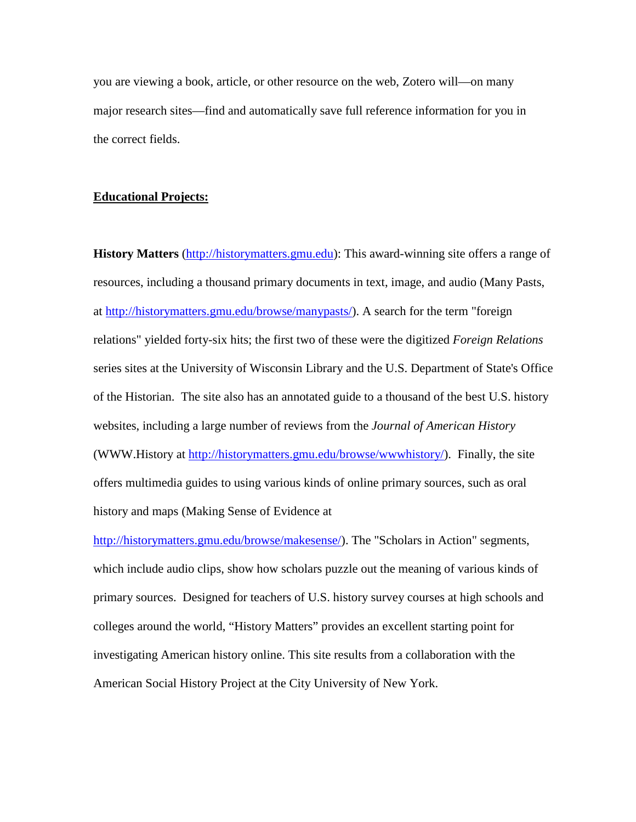you are viewing a book, article, or other resource on the web, Zotero will—on many major research sites—find and automatically save full reference information for you in the correct fields.

### **Educational Projects:**

**History Matters** [\(http://historymatters.gmu.edu\)](http://historymatters.gmu.edu/): This award-winning site offers a range of resources, including a thousand primary documents in text, image, and audio (Many Pasts, at [http://historymatters.gmu.edu/browse/manypasts/\)](http://historymatters.gmu.edu/browse/manypasts/). A search for the term "foreign relations" yielded forty-six hits; the first two of these were the digitized *Foreign Relations*  series sites at the University of Wisconsin Library and the U.S. Department of State's Office of the Historian. The site also has an annotated guide to a thousand of the best U.S. history websites, including a large number of reviews from the *Journal of American History* (WWW.History at [http://historymatters.gmu.edu/browse/wwwhistory/\)](http://www.historymatters.gmu.edu/browse/wwwhistory/). Finally, the site offers multimedia guides to using various kinds of online primary sources, such as oral history and maps (Making Sense of Evidence at

[http://historymatters.gmu.edu/browse/makesense/\)](http://historymatters.gmu.edu/browse/makesense/). The "Scholars in Action" segments, which include audio clips, show how scholars puzzle out the meaning of various kinds of primary sources. Designed for teachers of U.S. history survey courses at high schools and colleges around the world, "History Matters" provides an excellent starting point for investigating American history online. This site results from a collaboration with the American Social History Project at the City University of New York.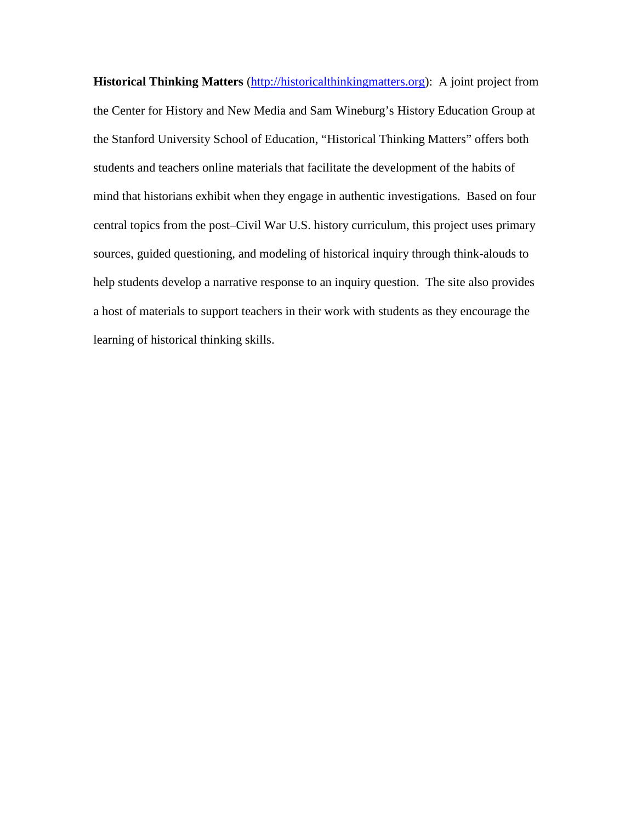**Historical Thinking Matters** [\(http://historicalthinkingmatters.org\)](http://historicalthinkingmatters.org/): A joint project from the Center for History and New Media and Sam Wineburg's History Education Group at the Stanford University School of Education, "Historical Thinking Matters" offers both students and teachers online materials that facilitate the development of the habits of mind that historians exhibit when they engage in authentic investigations. Based on four central topics from the post–Civil War U.S. history curriculum, this project uses primary sources, guided questioning, and modeling of historical inquiry through think-alouds to help students develop a narrative response to an inquiry question. The site also provides a host of materials to support teachers in their work with students as they encourage the learning of historical thinking skills.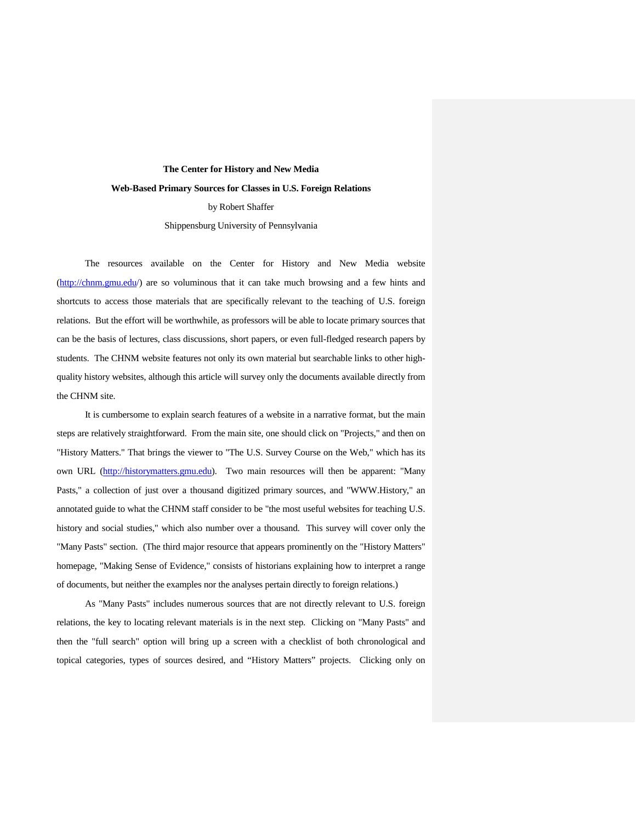# **The Center for History and New Media Web-Based Primary Sources for Classes in U.S. Foreign Relations** by Robert Shaffer Shippensburg University of Pennsylvania

The resources available on the Center for History and New Media website [\(http://chnm.gmu.edu/](http://chnm.gmu.edu/)) are so voluminous that it can take much browsing and a few hints and shortcuts to access those materials that are specifically relevant to the teaching of U.S. foreign relations. But the effort will be worthwhile, as professors will be able to locate primary sources that can be the basis of lectures, class discussions, short papers, or even full-fledged research papers by students. The CHNM website features not only its own material but searchable links to other highquality history websites, although this article will survey only the documents available directly from the CHNM site.

It is cumbersome to explain search features of a website in a narrative format, but the main steps are relatively straightforward. From the main site, one should click on "Projects," and then on "History Matters." That brings the viewer to "The U.S. Survey Course on the Web," which has its own URL [\(http://historymatters.gmu.edu\)](http://historymatters.gmu.edu/). Two main resources will then be apparent: "Many Pasts," a collection of just over a thousand digitized primary sources, and "WWW.History," an annotated guide to what the CHNM staff consider to be "the most useful websites for teaching U.S. history and social studies," which also number over a thousand. This survey will cover only the "Many Pasts" section. (The third major resource that appears prominently on the "History Matters" homepage, "Making Sense of Evidence," consists of historians explaining how to interpret a range of documents, but neither the examples nor the analyses pertain directly to foreign relations.)

As "Many Pasts" includes numerous sources that are not directly relevant to U.S. foreign relations, the key to locating relevant materials is in the next step. Clicking on "Many Pasts" and then the "full search" option will bring up a screen with a checklist of both chronological and topical categories, types of sources desired, and "History Matters" projects. Clicking only on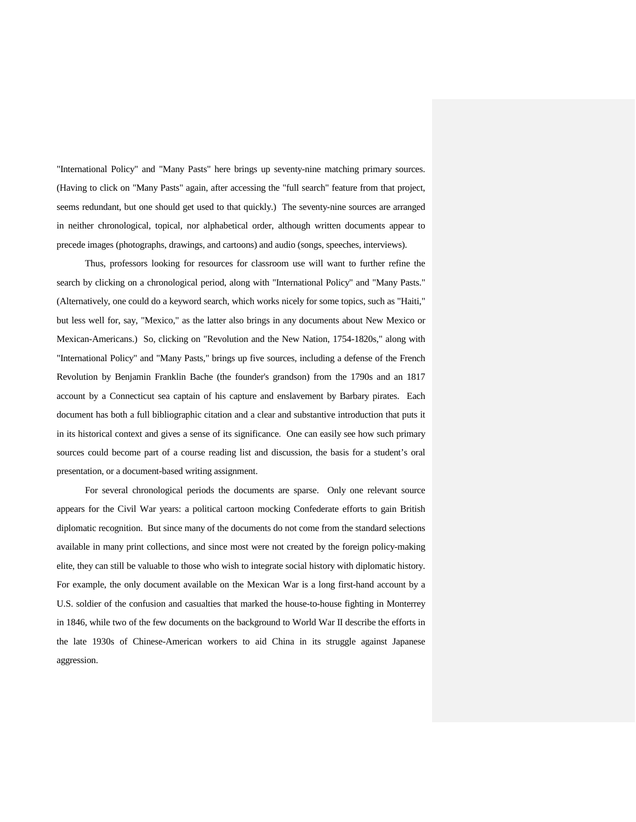"International Policy" and "Many Pasts" here brings up seventy-nine matching primary sources. (Having to click on "Many Pasts" again, after accessing the "full search" feature from that project, seems redundant, but one should get used to that quickly.) The seventy-nine sources are arranged in neither chronological, topical, nor alphabetical order, although written documents appear to precede images (photographs, drawings, and cartoons) and audio (songs, speeches, interviews).

Thus, professors looking for resources for classroom use will want to further refine the search by clicking on a chronological period, along with "International Policy" and "Many Pasts." (Alternatively, one could do a keyword search, which works nicely for some topics, such as "Haiti," but less well for, say, "Mexico," as the latter also brings in any documents about New Mexico or Mexican-Americans.) So, clicking on "Revolution and the New Nation, 1754-1820s," along with "International Policy" and "Many Pasts," brings up five sources, including a defense of the French Revolution by Benjamin Franklin Bache (the founder's grandson) from the 1790s and an 1817 account by a Connecticut sea captain of his capture and enslavement by Barbary pirates. Each document has both a full bibliographic citation and a clear and substantive introduction that puts it in its historical context and gives a sense of its significance. One can easily see how such primary sources could become part of a course reading list and discussion, the basis for a student's oral presentation, or a document-based writing assignment.

For several chronological periods the documents are sparse. Only one relevant source appears for the Civil War years: a political cartoon mocking Confederate efforts to gain British diplomatic recognition. But since many of the documents do not come from the standard selections available in many print collections, and since most were not created by the foreign policy-making elite, they can still be valuable to those who wish to integrate social history with diplomatic history. For example, the only document available on the Mexican War is a long first-hand account by a U.S. soldier of the confusion and casualties that marked the house-to-house fighting in Monterrey in 1846, while two of the few documents on the background to World War II describe the efforts in the late 1930s of Chinese-American workers to aid China in its struggle against Japanese aggression.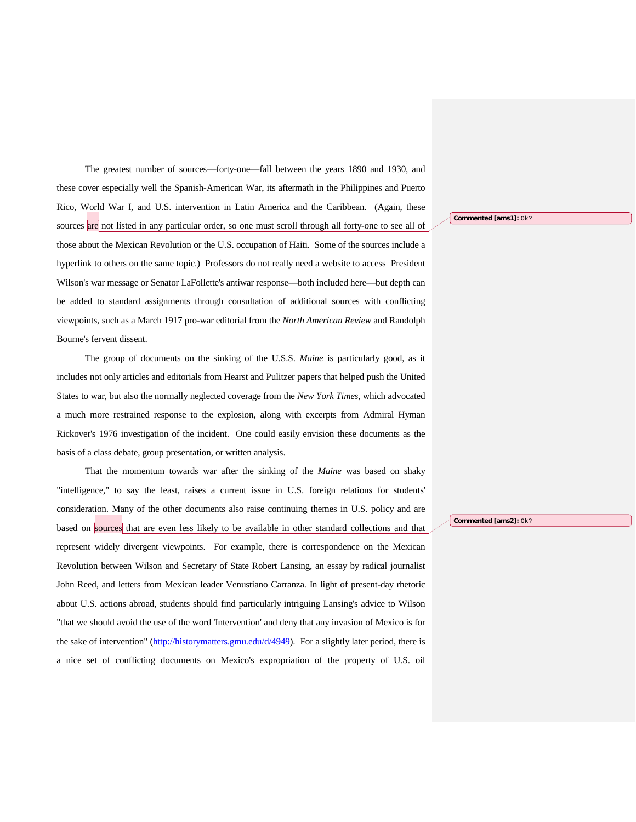The greatest number of sources—forty-one—fall between the years 1890 and 1930, and these cover especially well the Spanish-American War, its aftermath in the Philippines and Puerto Rico, World War I, and U.S. intervention in Latin America and the Caribbean. (Again, these sources are not listed in any particular order, so one must scroll through all forty-one to see all of those about the Mexican Revolution or the U.S. occupation of Haiti. Some of the sources include a hyperlink to others on the same topic.) Professors do not really need a website to access President Wilson's war message or Senator LaFollette's antiwar response—both included here—but depth can be added to standard assignments through consultation of additional sources with conflicting viewpoints, such as a March 1917 pro-war editorial from the *North American Review* and Randolph Bourne's fervent dissent.

The group of documents on the sinking of the U.S.S. *Maine* is particularly good, as it includes not only articles and editorials from Hearst and Pulitzer papers that helped push the United States to war, but also the normally neglected coverage from the *New York Times*, which advocated a much more restrained response to the explosion, along with excerpts from Admiral Hyman Rickover's 1976 investigation of the incident. One could easily envision these documents as the basis of a class debate, group presentation, or written analysis.

That the momentum towards war after the sinking of the *Maine* was based on shaky "intelligence," to say the least, raises a current issue in U.S. foreign relations for students' consideration. Many of the other documents also raise continuing themes in U.S. policy and are based on sources that are even less likely to be available in other standard collections and that represent widely divergent viewpoints. For example, there is correspondence on the Mexican Revolution between Wilson and Secretary of State Robert Lansing, an essay by radical journalist John Reed, and letters from Mexican leader Venustiano Carranza. In light of present-day rhetoric about U.S. actions abroad, students should find particularly intriguing Lansing's advice to Wilson "that we should avoid the use of the word 'Intervention' and deny that any invasion of Mexico is for the sake of intervention" [\(http://historymatters.gmu.edu/d/4949\)](http://historymatters.gmu.edu/d/4949). For a slightly later period, there is a nice set of conflicting documents on Mexico's expropriation of the property of U.S. oil

**Commented [ams1]:** Ok?

**Commented [ams2]:** Ok?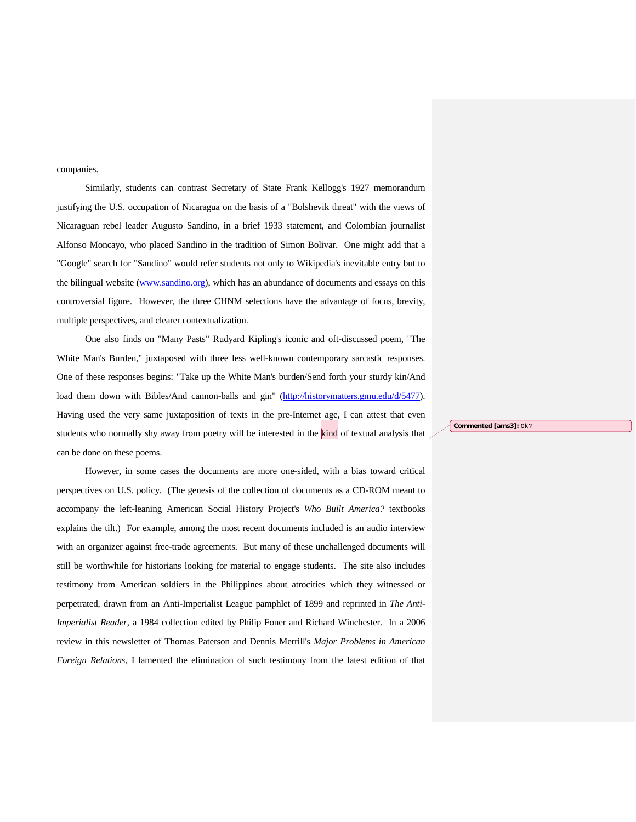companies.

Similarly, students can contrast Secretary of State Frank Kellogg's 1927 memorandum justifying the U.S. occupation of Nicaragua on the basis of a "Bolshevik threat" with the views of Nicaraguan rebel leader Augusto Sandino, in a brief 1933 statement, and Colombian journalist Alfonso Moncayo, who placed Sandino in the tradition of Simon Bolivar. One might add that a "Google" search for "Sandino" would refer students not only to Wikipedia's inevitable entry but to the bilingual website (www.sandino.org), which has an abundance of documents and essays on this controversial figure. However, the three CHNM selections have the advantage of focus, brevity, multiple perspectives, and clearer contextualization.

One also finds on "Many Pasts" Rudyard Kipling's iconic and oft-discussed poem, "The White Man's Burden," juxtaposed with three less well-known contemporary sarcastic responses. One of these responses begins: "Take up the White Man's burden/Send forth your sturdy kin/And load them down with Bibles/And cannon-balls and gin" [\(http://historymatters.gmu.edu/d/5477\)](http://historymatters.gmu.edu/d/5477). Having used the very same juxtaposition of texts in the pre-Internet age, I can attest that even students who normally shy away from poetry will be interested in the kind of textual analysis that can be done on these poems.

However, in some cases the documents are more one-sided, with a bias toward critical perspectives on U.S. policy. (The genesis of the collection of documents as a CD-ROM meant to accompany the left-leaning American Social History Project's *Who Built America?* textbooks explains the tilt.) For example, among the most recent documents included is an audio interview with an organizer against free-trade agreements. But many of these unchallenged documents will still be worthwhile for historians looking for material to engage students. The site also includes testimony from American soldiers in the Philippines about atrocities which they witnessed or perpetrated, drawn from an Anti-Imperialist League pamphlet of 1899 and reprinted in *The Anti-Imperialist Reader*, a 1984 collection edited by Philip Foner and Richard Winchester. In a 2006 review in this newsletter of Thomas Paterson and Dennis Merrill's *Major Problems in American Foreign Relations*, I lamented the elimination of such testimony from the latest edition of that **Commented [ams3]:** Ok?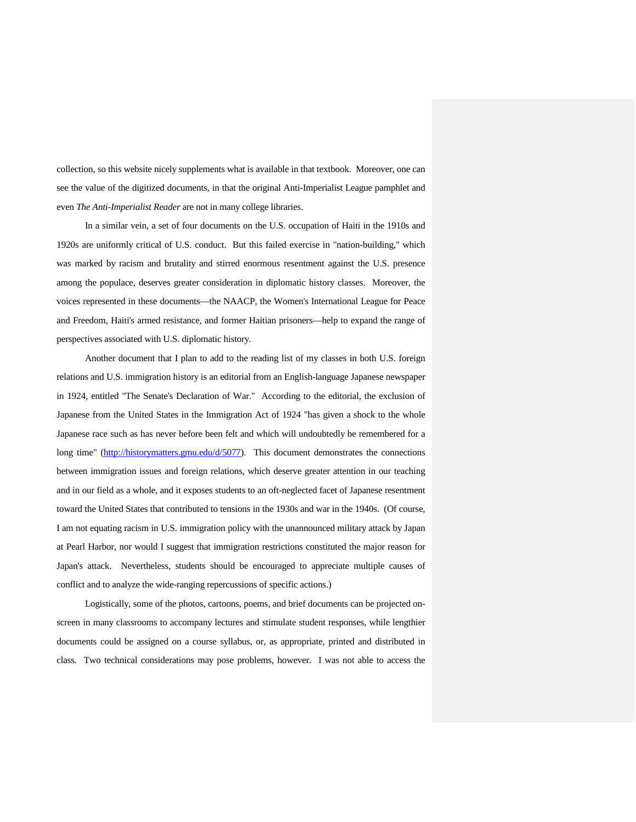collection, so this website nicely supplements what is available in that textbook. Moreover, one can see the value of the digitized documents, in that the original Anti-Imperialist League pamphlet and even *The Anti-Imperialist Reader* are not in many college libraries.

In a similar vein, a set of four documents on the U.S. occupation of Haiti in the 1910s and 1920s are uniformly critical of U.S. conduct. But this failed exercise in "nation-building," which was marked by racism and brutality and stirred enormous resentment against the U.S. presence among the populace, deserves greater consideration in diplomatic history classes. Moreover, the voices represented in these documents—the NAACP, the Women's International League for Peace and Freedom, Haiti's armed resistance, and former Haitian prisoners—help to expand the range of perspectives associated with U.S. diplomatic history.

Another document that I plan to add to the reading list of my classes in both U.S. foreign relations and U.S. immigration history is an editorial from an English-language Japanese newspaper in 1924, entitled "The Senate's Declaration of War." According to the editorial, the exclusion of Japanese from the United States in the Immigration Act of 1924 "has given a shock to the whole Japanese race such as has never before been felt and which will undoubtedly be remembered for a long time" [\(http://historymatters.gmu.edu/d/5077\)](http://historymatters.gmu.edu/d/5077). This document demonstrates the connections between immigration issues and foreign relations, which deserve greater attention in our teaching and in our field as a whole, and it exposes students to an oft-neglected facet of Japanese resentment toward the United States that contributed to tensions in the 1930s and war in the 1940s. (Of course, I am not equating racism in U.S. immigration policy with the unannounced military attack by Japan at Pearl Harbor, nor would I suggest that immigration restrictions constituted the major reason for Japan's attack. Nevertheless, students should be encouraged to appreciate multiple causes of conflict and to analyze the wide-ranging repercussions of specific actions.)

Logistically, some of the photos, cartoons, poems, and brief documents can be projected onscreen in many classrooms to accompany lectures and stimulate student responses, while lengthier documents could be assigned on a course syllabus, or, as appropriate, printed and distributed in class. Two technical considerations may pose problems, however. I was not able to access the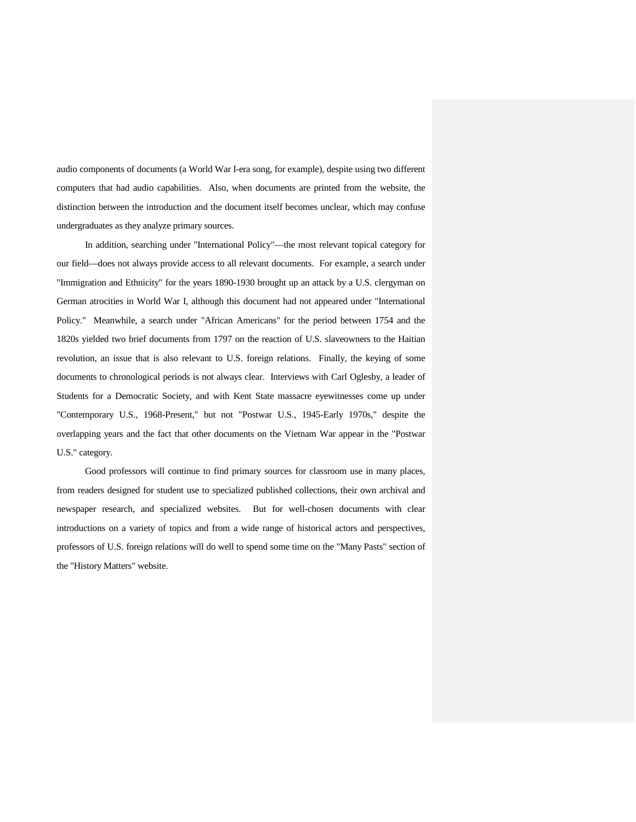audio components of documents (a World War I-era song, for example), despite using two different computers that had audio capabilities. Also, when documents are printed from the website, the distinction between the introduction and the document itself becomes unclear, which may confuse undergraduates as they analyze primary sources.

In addition, searching under "International Policy"—the most relevant topical category for our field—does not always provide access to all relevant documents. For example, a search under "Immigration and Ethnicity" for the years 1890-1930 brought up an attack by a U.S. clergyman on German atrocities in World War I, although this document had not appeared under "International Policy." Meanwhile, a search under "African Americans" for the period between 1754 and the 1820s yielded two brief documents from 1797 on the reaction of U.S. slaveowners to the Haitian revolution, an issue that is also relevant to U.S. foreign relations. Finally, the keying of some documents to chronological periods is not always clear. Interviews with Carl Oglesby, a leader of Students for a Democratic Society, and with Kent State massacre eyewitnesses come up under "Contemporary U.S., 1968-Present," but not "Postwar U.S., 1945-Early 1970s," despite the overlapping years and the fact that other documents on the Vietnam War appear in the "Postwar U.S." category.

Good professors will continue to find primary sources for classroom use in many places, from readers designed for student use to specialized published collections, their own archival and newspaper research, and specialized websites. But for well-chosen documents with clear introductions on a variety of topics and from a wide range of historical actors and perspectives, professors of U.S. foreign relations will do well to spend some time on the "Many Pasts" section of the "History Matters" website.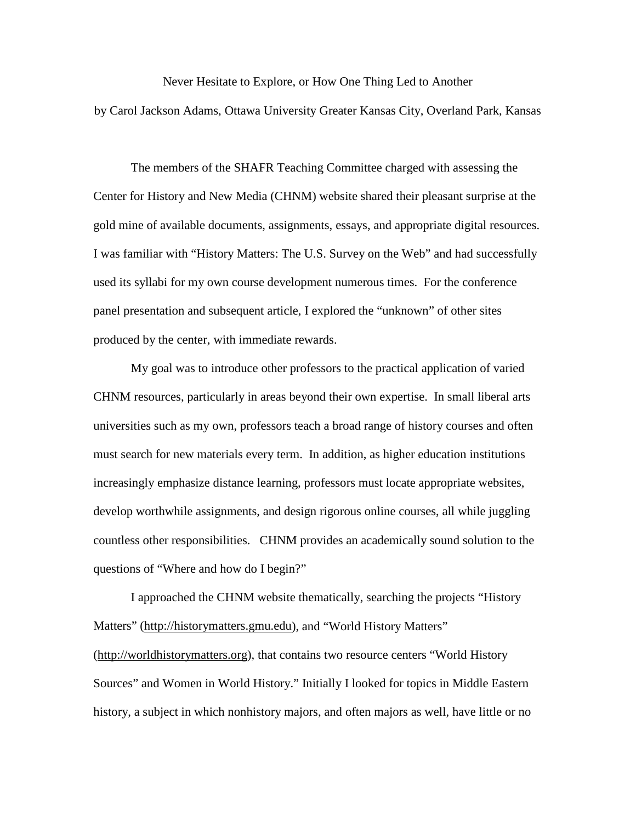Never Hesitate to Explore, or How One Thing Led to Another by Carol Jackson Adams, Ottawa University Greater Kansas City, Overland Park, Kansas

The members of the SHAFR Teaching Committee charged with assessing the Center for History and New Media (CHNM) website shared their pleasant surprise at the gold mine of available documents, assignments, essays, and appropriate digital resources. I was familiar with "History Matters: The U.S. Survey on the Web" and had successfully used its syllabi for my own course development numerous times. For the conference panel presentation and subsequent article, I explored the "unknown" of other sites produced by the center, with immediate rewards.

My goal was to introduce other professors to the practical application of varied CHNM resources, particularly in areas beyond their own expertise. In small liberal arts universities such as my own, professors teach a broad range of history courses and often must search for new materials every term. In addition, as higher education institutions increasingly emphasize distance learning, professors must locate appropriate websites, develop worthwhile assignments, and design rigorous online courses, all while juggling countless other responsibilities. CHNM provides an academically sound solution to the questions of "Where and how do I begin?"

I approached the CHNM website thematically, searching the projects "History Matters" [\(http://historymatters.gmu.edu\)](http://historymatters.gmu.edu/), and "World History Matters" [\(http://worldhistorymatters.org\)](http://worldhistorymatters.org/), that contains two resource centers "World History Sources" and Women in World History." Initially I looked for topics in Middle Eastern history, a subject in which nonhistory majors, and often majors as well, have little or no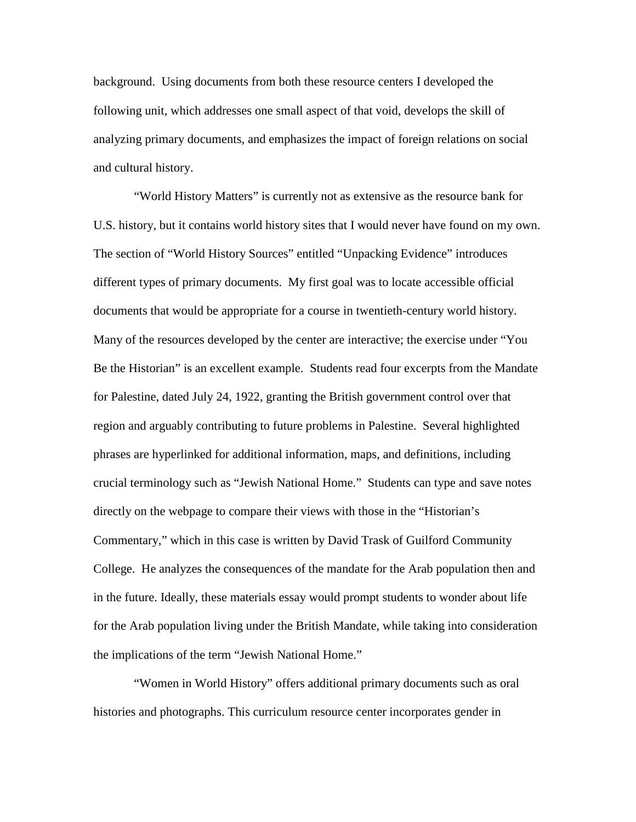background. Using documents from both these resource centers I developed the following unit, which addresses one small aspect of that void, develops the skill of analyzing primary documents, and emphasizes the impact of foreign relations on social and cultural history.

"World History Matters" is currently not as extensive as the resource bank for U.S. history, but it contains world history sites that I would never have found on my own. The section of "World History Sources" entitled "Unpacking Evidence" introduces different types of primary documents. My first goal was to locate accessible official documents that would be appropriate for a course in twentieth-century world history. Many of the resources developed by the center are interactive; the exercise under "You Be the Historian" is an excellent example. Students read four excerpts from the Mandate for Palestine, dated July 24, 1922, granting the British government control over that region and arguably contributing to future problems in Palestine. Several highlighted phrases are hyperlinked for additional information, maps, and definitions, including crucial terminology such as "Jewish National Home." Students can type and save notes directly on the webpage to compare their views with those in the "Historian's Commentary," which in this case is written by David Trask of Guilford Community College. He analyzes the consequences of the mandate for the Arab population then and in the future. Ideally, these materials essay would prompt students to wonder about life for the Arab population living under the British Mandate, while taking into consideration the implications of the term "Jewish National Home."

"Women in World History" offers additional primary documents such as oral histories and photographs. This curriculum resource center incorporates gender in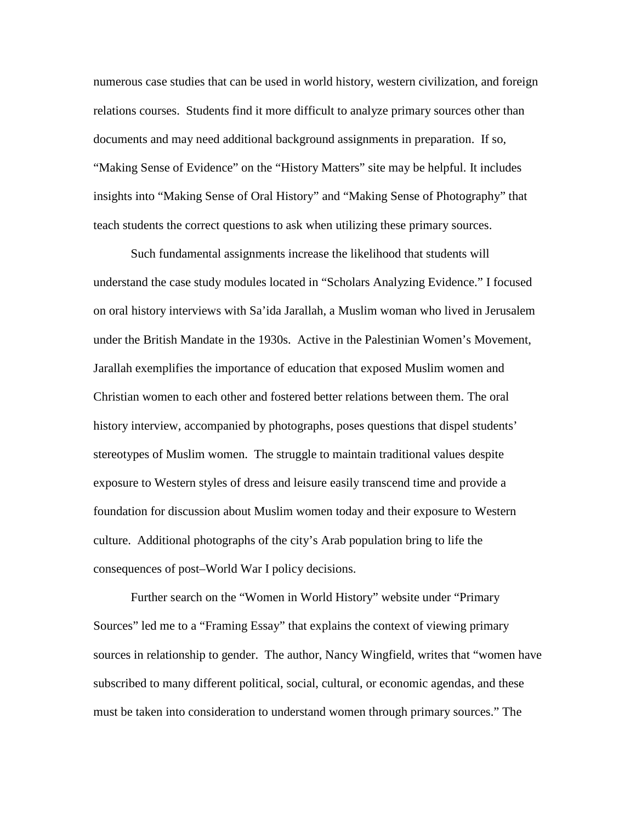numerous case studies that can be used in world history, western civilization, and foreign relations courses. Students find it more difficult to analyze primary sources other than documents and may need additional background assignments in preparation. If so, "Making Sense of Evidence" on the "History Matters" site may be helpful. It includes insights into "Making Sense of Oral History" and "Making Sense of Photography" that teach students the correct questions to ask when utilizing these primary sources.

Such fundamental assignments increase the likelihood that students will understand the case study modules located in "Scholars Analyzing Evidence." I focused on oral history interviews with Sa'ida Jarallah, a Muslim woman who lived in Jerusalem under the British Mandate in the 1930s. Active in the Palestinian Women's Movement, Jarallah exemplifies the importance of education that exposed Muslim women and Christian women to each other and fostered better relations between them. The oral history interview, accompanied by photographs, poses questions that dispel students' stereotypes of Muslim women. The struggle to maintain traditional values despite exposure to Western styles of dress and leisure easily transcend time and provide a foundation for discussion about Muslim women today and their exposure to Western culture. Additional photographs of the city's Arab population bring to life the consequences of post–World War I policy decisions.

Further search on the "Women in World History" website under "Primary Sources" led me to a "Framing Essay" that explains the context of viewing primary sources in relationship to gender. The author, Nancy Wingfield, writes that "women have subscribed to many different political, social, cultural, or economic agendas, and these must be taken into consideration to understand women through primary sources." The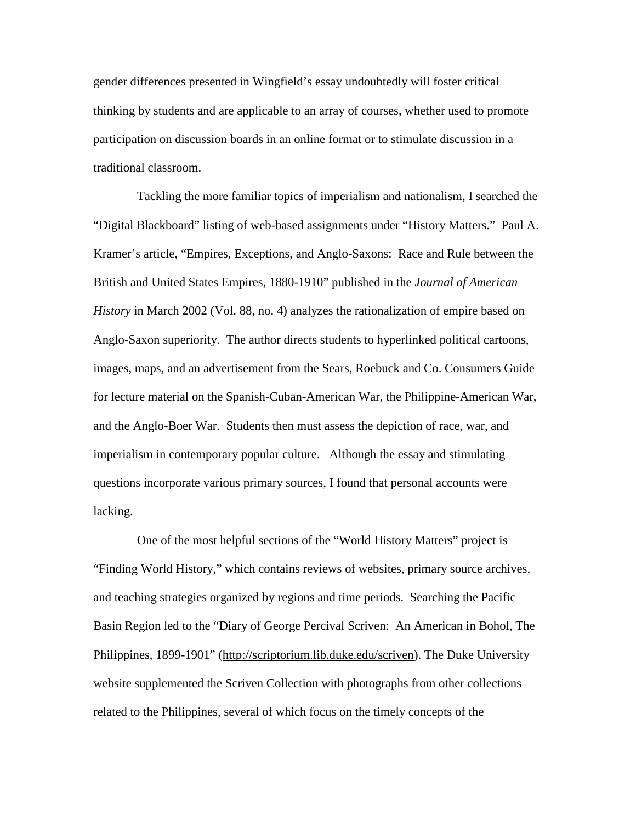gender differences presented in Wingfield's essay undoubtedly will foster critical thinking by students and are applicable to an array of courses, whether used to promote participation on discussion boards in an online format or to stimulate discussion in a traditional classroom.

 Tackling the more familiar topics of imperialism and nationalism, I searched the "Digital Blackboard" listing of web-based assignments under "History Matters." Paul A. Kramer's article, "Empires, Exceptions, and Anglo-Saxons: Race and Rule between the British and United States Empires, 1880-1910" published in the *Journal of American History* in March 2002 (Vol. 88, no. 4) analyzes the rationalization of empire based on Anglo-Saxon superiority. The author directs students to hyperlinked political cartoons, images, maps, and an advertisement from the Sears, Roebuck and Co. Consumers Guide for lecture material on the Spanish-Cuban-American War, the Philippine-American War, and the Anglo-Boer War. Students then must assess the depiction of race, war, and imperialism in contemporary popular culture. Although the essay and stimulating questions incorporate various primary sources, I found that personal accounts were lacking.

 One of the most helpful sections of the "World History Matters" project is "Finding World History," which contains reviews of websites, primary source archives, and teaching strategies organized by regions and time periods. Searching the Pacific Basin Region led to the "Diary of George Percival Scriven: An American in Bohol, The Philippines, 1899-1901" [\(http://scriptorium.lib.duke.edu/scriven\)](http://scriptorium.lib.duke.edu/scriven). The Duke University website supplemented the Scriven Collection with photographs from other collections related to the Philippines, several of which focus on the timely concepts of the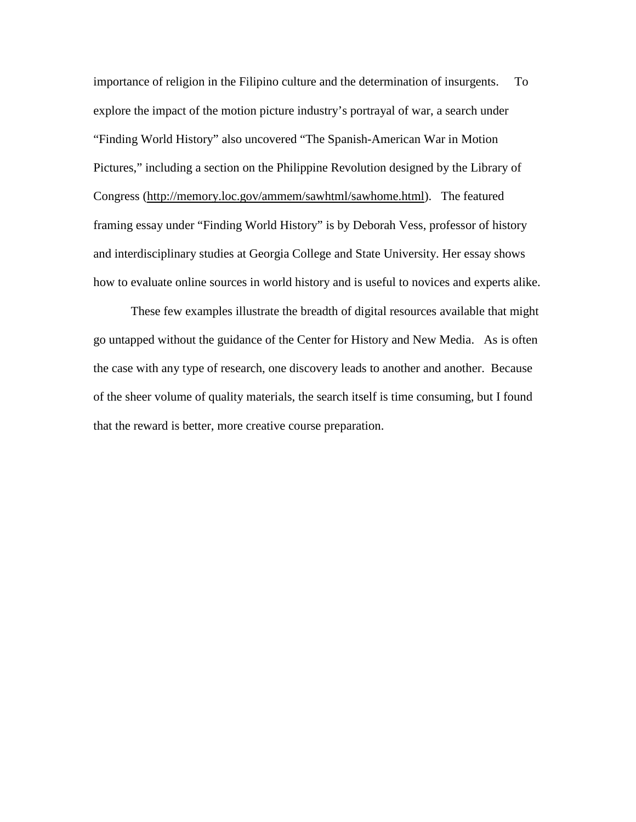importance of religion in the Filipino culture and the determination of insurgents. To explore the impact of the motion picture industry's portrayal of war, a search under "Finding World History" also uncovered "The Spanish-American War in Motion Pictures," including a section on the Philippine Revolution designed by the Library of Congress [\(http://memory.loc.gov/ammem/sawhtml/sawhome.html\)](http://memory.loc.gov/ammem/sawhtml/sawhome.html). The featured framing essay under "Finding World History" is by Deborah Vess, professor of history and interdisciplinary studies at Georgia College and State University. Her essay shows how to evaluate online sources in world history and is useful to novices and experts alike.

These few examples illustrate the breadth of digital resources available that might go untapped without the guidance of the Center for History and New Media. As is often the case with any type of research, one discovery leads to another and another. Because of the sheer volume of quality materials, the search itself is time consuming, but I found that the reward is better, more creative course preparation.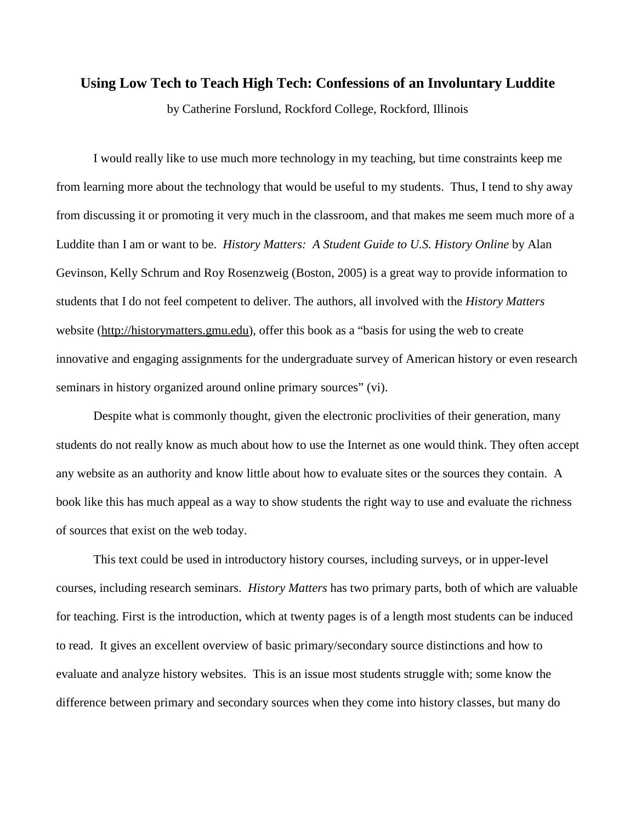# **Using Low Tech to Teach High Tech: Confessions of an Involuntary Luddite**

by Catherine Forslund, Rockford College, Rockford, Illinois

I would really like to use much more technology in my teaching, but time constraints keep me from learning more about the technology that would be useful to my students. Thus, I tend to shy away from discussing it or promoting it very much in the classroom, and that makes me seem much more of a Luddite than I am or want to be. *History Matters: A Student Guide to U.S. History Online* by Alan Gevinson, Kelly Schrum and Roy Rosenzweig (Boston, 2005) is a great way to provide information to students that I do not feel competent to deliver. The authors, all involved with the *History Matters* website [\(http://historymatters.gmu.edu\)](http://historymatters.gmu.edu/), offer this book as a "basis for using the web to create innovative and engaging assignments for the undergraduate survey of American history or even research seminars in history organized around online primary sources" (vi).

Despite what is commonly thought, given the electronic proclivities of their generation, many students do not really know as much about how to use the Internet as one would think. They often accept any website as an authority and know little about how to evaluate sites or the sources they contain. A book like this has much appeal as a way to show students the right way to use and evaluate the richness of sources that exist on the web today.

This text could be used in introductory history courses, including surveys, or in upper-level courses, including research seminars. *History Matters* has two primary parts, both of which are valuable for teaching. First is the introduction, which at twenty pages is of a length most students can be induced to read. It gives an excellent overview of basic primary/secondary source distinctions and how to evaluate and analyze history websites. This is an issue most students struggle with; some know the difference between primary and secondary sources when they come into history classes, but many do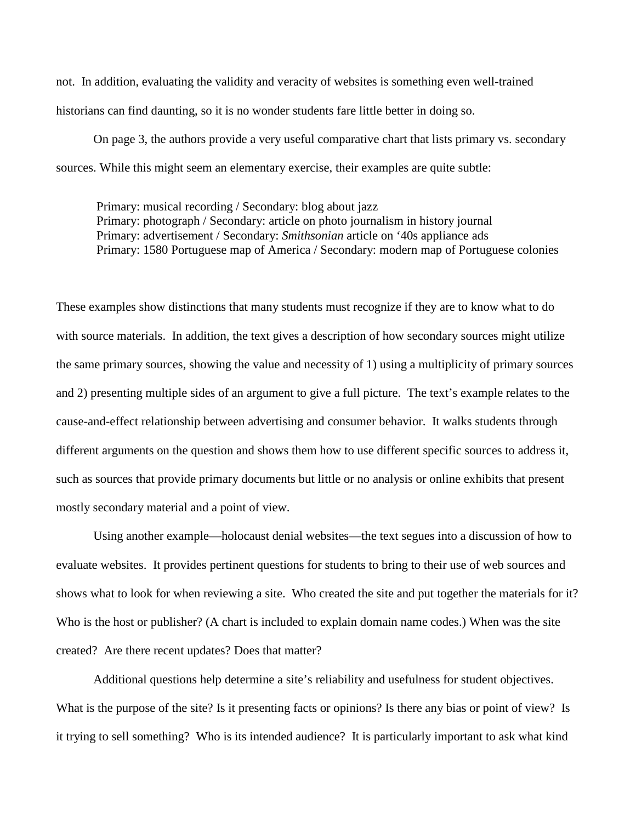not. In addition, evaluating the validity and veracity of websites is something even well-trained historians can find daunting, so it is no wonder students fare little better in doing so.

On page 3, the authors provide a very useful comparative chart that lists primary vs. secondary sources. While this might seem an elementary exercise, their examples are quite subtle:

Primary: musical recording / Secondary: blog about jazz Primary: photograph / Secondary: article on photo journalism in history journal Primary: advertisement / Secondary: *Smithsonian* article on '40s appliance ads Primary: 1580 Portuguese map of America / Secondary: modern map of Portuguese colonies

These examples show distinctions that many students must recognize if they are to know what to do with source materials. In addition, the text gives a description of how secondary sources might utilize the same primary sources, showing the value and necessity of 1) using a multiplicity of primary sources and 2) presenting multiple sides of an argument to give a full picture. The text's example relates to the cause-and-effect relationship between advertising and consumer behavior. It walks students through different arguments on the question and shows them how to use different specific sources to address it, such as sources that provide primary documents but little or no analysis or online exhibits that present mostly secondary material and a point of view.

Using another example—holocaust denial websites—the text segues into a discussion of how to evaluate websites. It provides pertinent questions for students to bring to their use of web sources and shows what to look for when reviewing a site. Who created the site and put together the materials for it? Who is the host or publisher? (A chart is included to explain domain name codes.) When was the site created? Are there recent updates? Does that matter?

Additional questions help determine a site's reliability and usefulness for student objectives. What is the purpose of the site? Is it presenting facts or opinions? Is there any bias or point of view? Is it trying to sell something? Who is its intended audience? It is particularly important to ask what kind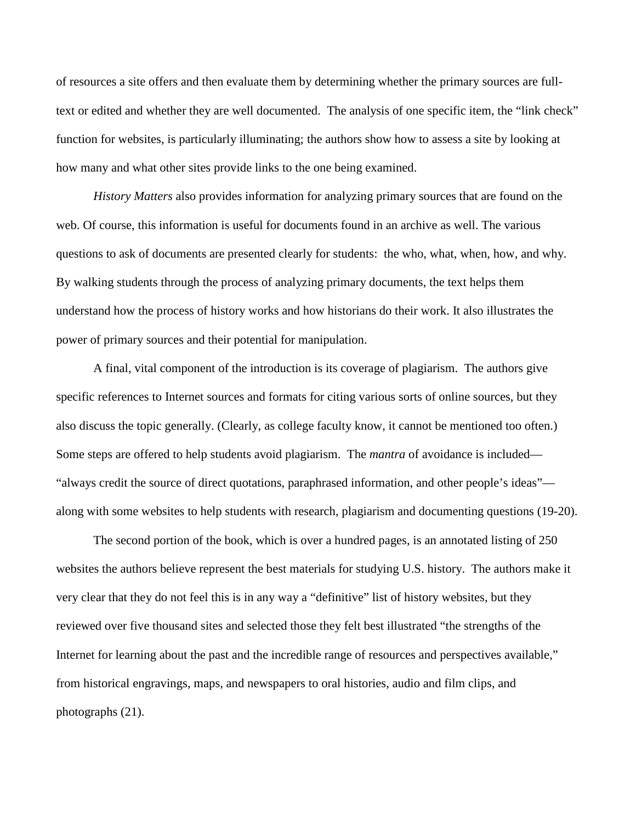of resources a site offers and then evaluate them by determining whether the primary sources are fulltext or edited and whether they are well documented. The analysis of one specific item, the "link check" function for websites, is particularly illuminating; the authors show how to assess a site by looking at how many and what other sites provide links to the one being examined.

*History Matters* also provides information for analyzing primary sources that are found on the web. Of course, this information is useful for documents found in an archive as well. The various questions to ask of documents are presented clearly for students: the who, what, when, how, and why. By walking students through the process of analyzing primary documents, the text helps them understand how the process of history works and how historians do their work. It also illustrates the power of primary sources and their potential for manipulation.

A final, vital component of the introduction is its coverage of plagiarism. The authors give specific references to Internet sources and formats for citing various sorts of online sources, but they also discuss the topic generally. (Clearly, as college faculty know, it cannot be mentioned too often.) Some steps are offered to help students avoid plagiarism. The *mantra* of avoidance is included— "always credit the source of direct quotations, paraphrased information, and other people's ideas" along with some websites to help students with research, plagiarism and documenting questions (19-20).

The second portion of the book, which is over a hundred pages, is an annotated listing of 250 websites the authors believe represent the best materials for studying U.S. history. The authors make it very clear that they do not feel this is in any way a "definitive" list of history websites, but they reviewed over five thousand sites and selected those they felt best illustrated "the strengths of the Internet for learning about the past and the incredible range of resources and perspectives available," from historical engravings, maps, and newspapers to oral histories, audio and film clips, and photographs (21).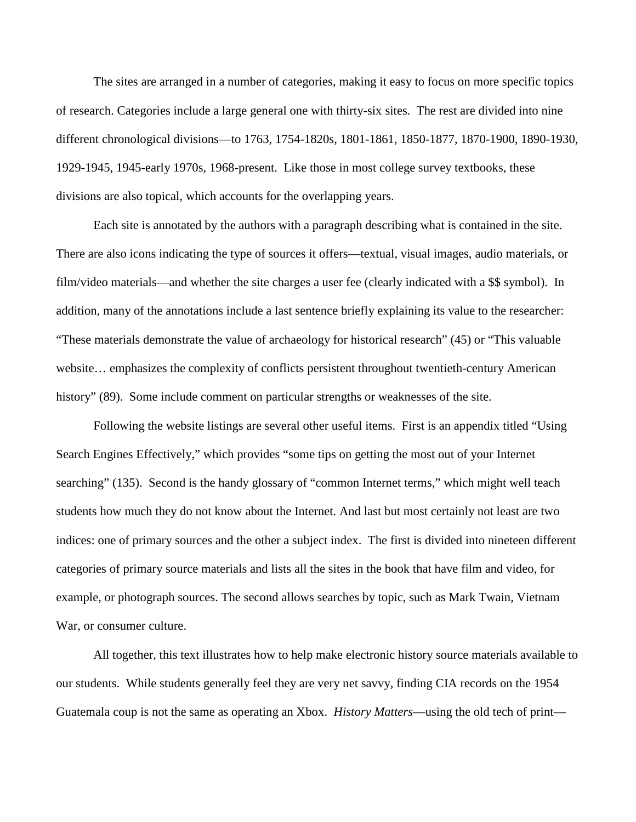The sites are arranged in a number of categories, making it easy to focus on more specific topics of research. Categories include a large general one with thirty-six sites. The rest are divided into nine different chronological divisions—to 1763, 1754-1820s, 1801-1861, 1850-1877, 1870-1900, 1890-1930, 1929-1945, 1945-early 1970s, 1968-present. Like those in most college survey textbooks, these divisions are also topical, which accounts for the overlapping years.

Each site is annotated by the authors with a paragraph describing what is contained in the site. There are also icons indicating the type of sources it offers—textual, visual images, audio materials, or film/video materials—and whether the site charges a user fee (clearly indicated with a \$\$ symbol). In addition, many of the annotations include a last sentence briefly explaining its value to the researcher: "These materials demonstrate the value of archaeology for historical research" (45) or "This valuable website… emphasizes the complexity of conflicts persistent throughout twentieth-century American history" (89). Some include comment on particular strengths or weaknesses of the site.

Following the website listings are several other useful items. First is an appendix titled "Using Search Engines Effectively," which provides "some tips on getting the most out of your Internet searching" (135). Second is the handy glossary of "common Internet terms," which might well teach students how much they do not know about the Internet. And last but most certainly not least are two indices: one of primary sources and the other a subject index. The first is divided into nineteen different categories of primary source materials and lists all the sites in the book that have film and video, for example, or photograph sources. The second allows searches by topic, such as Mark Twain, Vietnam War, or consumer culture.

All together, this text illustrates how to help make electronic history source materials available to our students. While students generally feel they are very net savvy, finding CIA records on the 1954 Guatemala coup is not the same as operating an Xbox. *History Matters*—using the old tech of print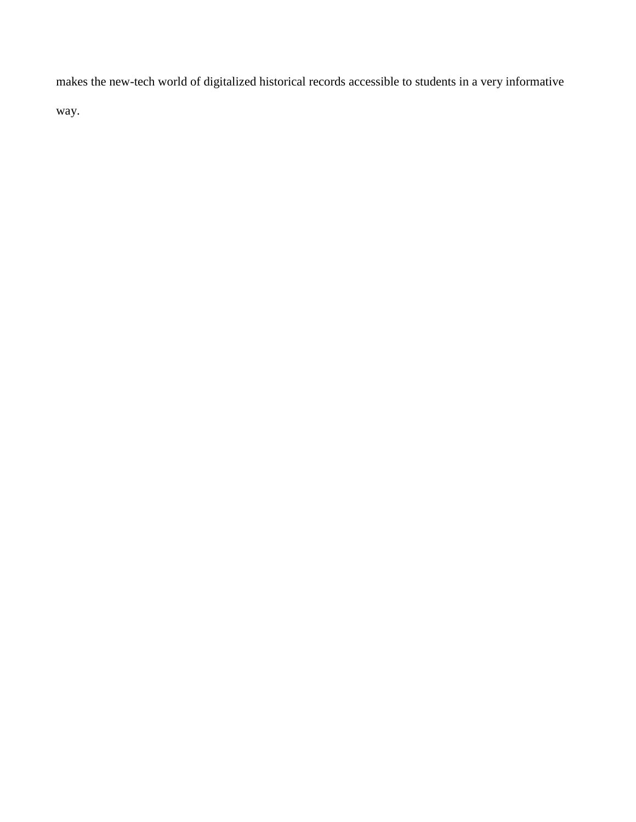makes the new-tech world of digitalized historical records accessible to students in a very informative way.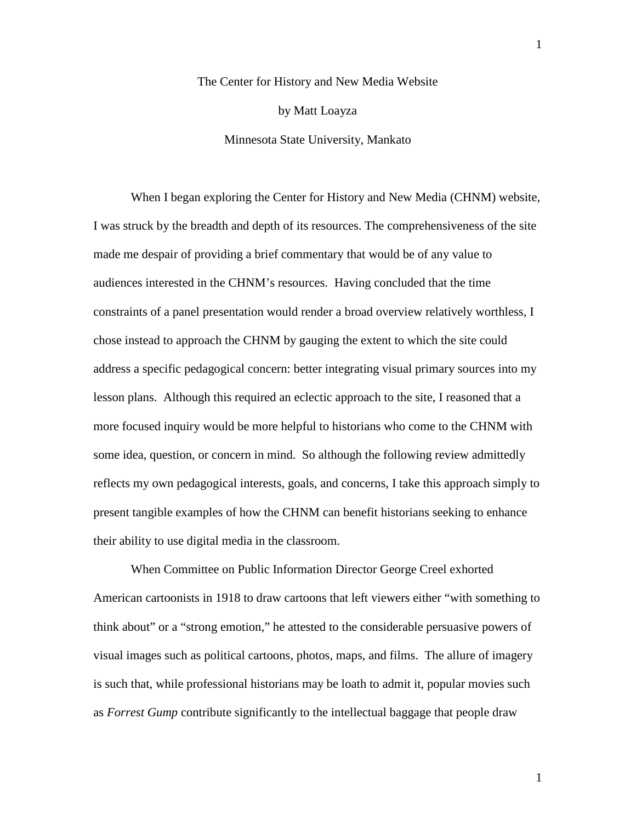The Center for History and New Media Website by Matt Loayza Minnesota State University, Mankato

When I began exploring the Center for History and New Media (CHNM) website, I was struck by the breadth and depth of its resources. The comprehensiveness of the site made me despair of providing a brief commentary that would be of any value to audiences interested in the CHNM's resources. Having concluded that the time constraints of a panel presentation would render a broad overview relatively worthless, I chose instead to approach the CHNM by gauging the extent to which the site could address a specific pedagogical concern: better integrating visual primary sources into my lesson plans. Although this required an eclectic approach to the site, I reasoned that a more focused inquiry would be more helpful to historians who come to the CHNM with some idea, question, or concern in mind. So although the following review admittedly reflects my own pedagogical interests, goals, and concerns, I take this approach simply to present tangible examples of how the CHNM can benefit historians seeking to enhance their ability to use digital media in the classroom.

When Committee on Public Information Director George Creel exhorted American cartoonists in 1918 to draw cartoons that left viewers either "with something to think about" or a "strong emotion," he attested to the considerable persuasive powers of visual images such as political cartoons, photos, maps, and films. The allure of imagery is such that, while professional historians may be loath to admit it, popular movies such as *Forrest Gump* contribute significantly to the intellectual baggage that people draw

1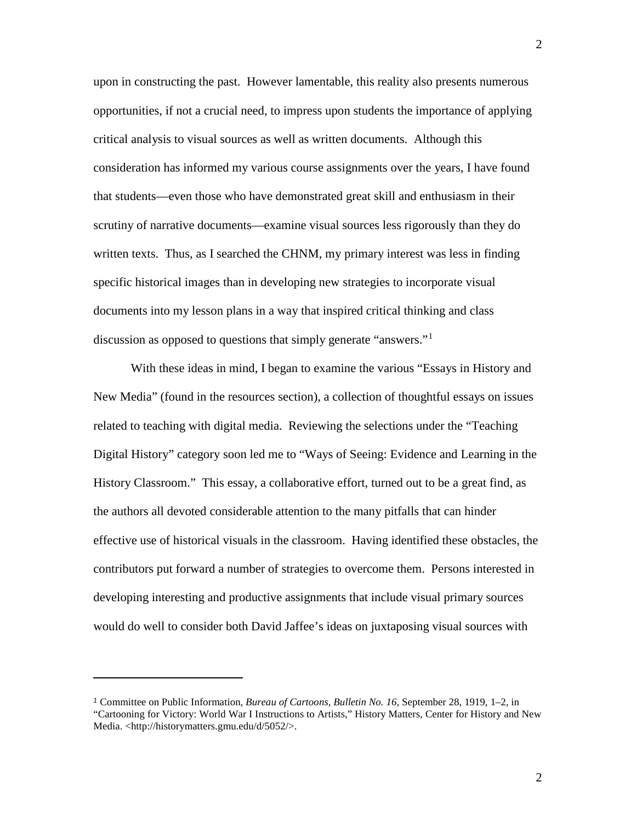upon in constructing the past. However lamentable, this reality also presents numerous opportunities, if not a crucial need, to impress upon students the importance of applying critical analysis to visual sources as well as written documents. Although this consideration has informed my various course assignments over the years, I have found that students—even those who have demonstrated great skill and enthusiasm in their scrutiny of narrative documents—examine visual sources less rigorously than they do written texts. Thus, as I searched the CHNM, my primary interest was less in finding specific historical images than in developing new strategies to incorporate visual documents into my lesson plans in a way that inspired critical thinking and class discussion as opposed to questions that simply generate "answers."[1](#page-23-0)

With these ideas in mind, I began to examine the various "Essays in History and New Media" (found in the resources section), a collection of thoughtful essays on issues related to teaching with digital media. Reviewing the selections under the "Teaching Digital History" category soon led me to "Ways of Seeing: Evidence and Learning in the History Classroom." This essay, a collaborative effort, turned out to be a great find, as the authors all devoted considerable attention to the many pitfalls that can hinder effective use of historical visuals in the classroom. Having identified these obstacles, the contributors put forward a number of strategies to overcome them. Persons interested in developing interesting and productive assignments that include visual primary sources would do well to consider both David Jaffee's ideas on juxtaposing visual sources with

 $\overline{a}$ 

<span id="page-23-0"></span>*<sup>1</sup>* Committee on Public Information*, Bureau of Cartoons, Bulletin No. 16*, September 28, 1919, 1–2, in "Cartooning for Victory: World War I Instructions to Artists," History Matters, Center for History and New Media. [<http://historymatters.gmu.edu/d/5052/>](http://historymatters.gmu.edu/d/5052/).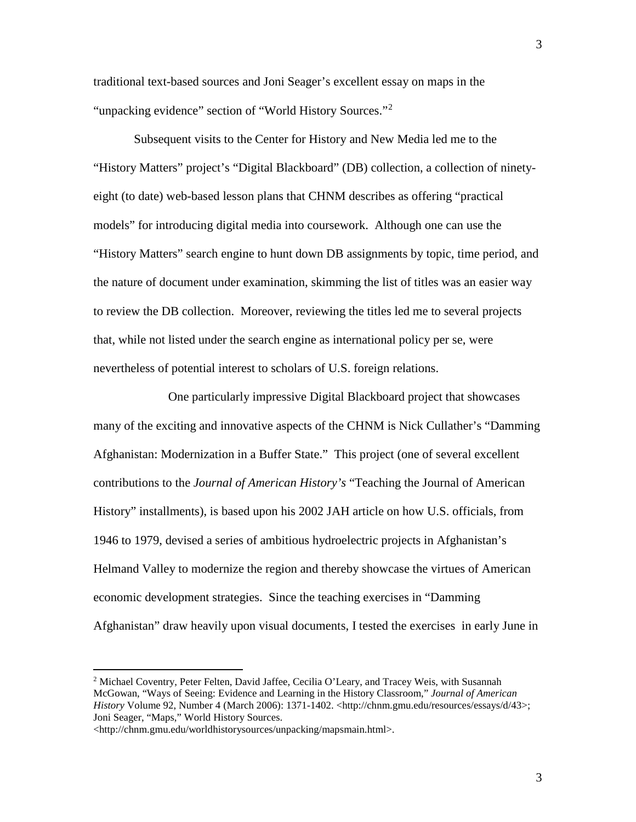traditional text-based sources and Joni Seager's excellent essay on maps in the "unpacking evidence" section of "World History Sources."<sup>[2](#page-24-0)</sup>

Subsequent visits to the Center for History and New Media led me to the "History Matters" project's "Digital Blackboard" (DB) collection, a collection of ninetyeight (to date) web-based lesson plans that CHNM describes as offering "practical models" for introducing digital media into coursework. Although one can use the "History Matters" search engine to hunt down DB assignments by topic, time period, and the nature of document under examination, skimming the list of titles was an easier way to review the DB collection. Moreover, reviewing the titles led me to several projects that, while not listed under the search engine as international policy per se, were nevertheless of potential interest to scholars of U.S. foreign relations.

One particularly impressive Digital Blackboard project that showcases many of the exciting and innovative aspects of the CHNM is Nick Cullather's "Damming Afghanistan: Modernization in a Buffer State." This project (one of several excellent contributions to the *Journal of American History's* "Teaching the Journal of American History" installments), is based upon his 2002 JAH article on how U.S. officials, from 1946 to 1979, devised a series of ambitious hydroelectric projects in Afghanistan's Helmand Valley to modernize the region and thereby showcase the virtues of American economic development strategies. Since the teaching exercises in "Damming Afghanistan" draw heavily upon visual documents, I tested the exercises in early June in

 $\overline{a}$ 

3

<span id="page-24-0"></span><sup>&</sup>lt;sup>2</sup> Michael Coventry, Peter Felten, David Jaffee, Cecilia O'Leary, and Tracey Weis, with Susannah McGowan, "Ways of Seeing: Evidence and Learning in the History Classroom," *Journal of American History* Volume 92, Number 4 (March 2006): 1371-1402. [<http://chnm.gmu.edu/resources/essays/d/43>](http://chnm.gmu.edu/resources/essays/d/43); Joni Seager, "Maps," World History Sources.

[<sup>&</sup>lt;http://chnm.gmu.edu/worldhistorysources/unpacking/mapsmain.html>](http://chnm.gmu.edu/worldhistorysources/unpacking/mapsmain.html).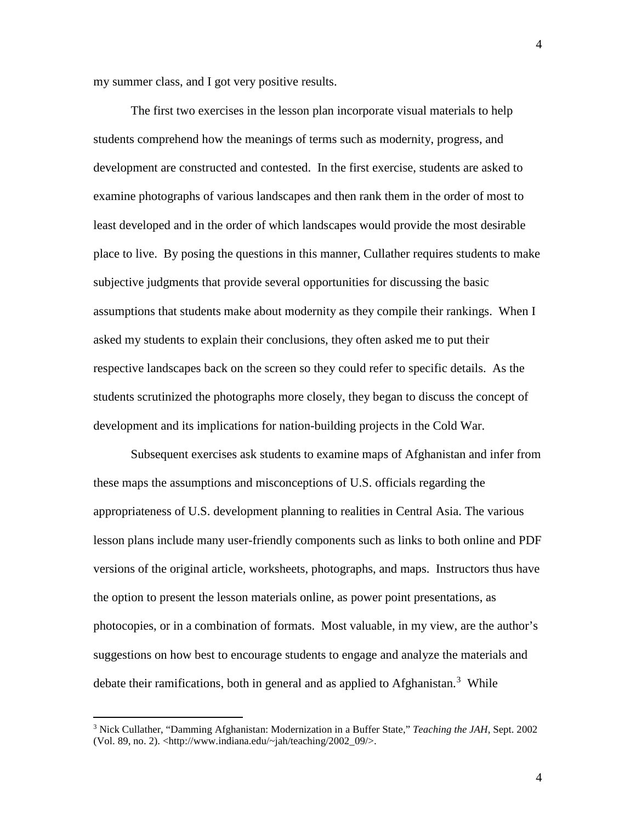my summer class, and I got very positive results.

The first two exercises in the lesson plan incorporate visual materials to help students comprehend how the meanings of terms such as modernity, progress, and development are constructed and contested. In the first exercise, students are asked to examine photographs of various landscapes and then rank them in the order of most to least developed and in the order of which landscapes would provide the most desirable place to live. By posing the questions in this manner, Cullather requires students to make subjective judgments that provide several opportunities for discussing the basic assumptions that students make about modernity as they compile their rankings. When I asked my students to explain their conclusions, they often asked me to put their respective landscapes back on the screen so they could refer to specific details. As the students scrutinized the photographs more closely, they began to discuss the concept of development and its implications for nation-building projects in the Cold War.

Subsequent exercises ask students to examine maps of Afghanistan and infer from these maps the assumptions and misconceptions of U.S. officials regarding the appropriateness of U.S. development planning to realities in Central Asia. The various lesson plans include many user-friendly components such as links to both online and PDF versions of the original article, worksheets, photographs, and maps. Instructors thus have the option to present the lesson materials online, as power point presentations, as photocopies, or in a combination of formats. Most valuable, in my view, are the author's suggestions on how best to encourage students to engage and analyze the materials and debate their ramifications, both in general and as applied to Afghanistan.<sup>[3](#page-25-0)</sup> While

 $\overline{a}$ 

<span id="page-25-0"></span><sup>3</sup> Nick Cullather, "Damming Afghanistan: Modernization in a Buffer State," *Teaching the JAH*, Sept. 2002 (Vol. 89, no. 2). [<http://www.indiana.edu/~jah/teaching/2002\\_09/>](http://www.indiana.edu/%7Ejah/teaching/2002_09/).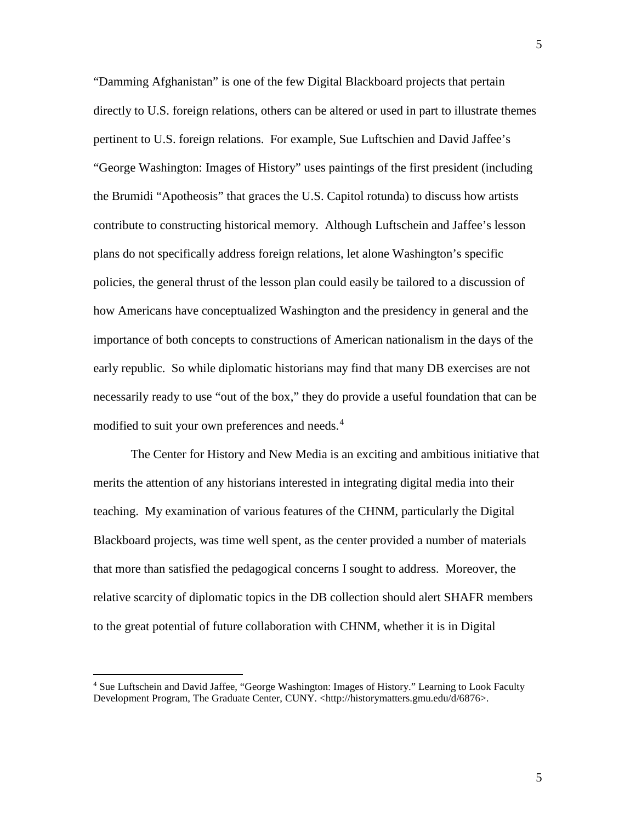"Damming Afghanistan" is one of the few Digital Blackboard projects that pertain directly to U.S. foreign relations, others can be altered or used in part to illustrate themes pertinent to U.S. foreign relations. For example, Sue Luftschien and David Jaffee's "George Washington: Images of History" uses paintings of the first president (including the Brumidi "Apotheosis" that graces the U.S. Capitol rotunda) to discuss how artists contribute to constructing historical memory. Although Luftschein and Jaffee's lesson plans do not specifically address foreign relations, let alone Washington's specific policies, the general thrust of the lesson plan could easily be tailored to a discussion of how Americans have conceptualized Washington and the presidency in general and the importance of both concepts to constructions of American nationalism in the days of the early republic. So while diplomatic historians may find that many DB exercises are not necessarily ready to use "out of the box," they do provide a useful foundation that can be modified to suit your own preferences and needs.<sup>[4](#page-26-0)</sup>

The Center for History and New Media is an exciting and ambitious initiative that merits the attention of any historians interested in integrating digital media into their teaching. My examination of various features of the CHNM, particularly the Digital Blackboard projects, was time well spent, as the center provided a number of materials that more than satisfied the pedagogical concerns I sought to address. Moreover, the relative scarcity of diplomatic topics in the DB collection should alert SHAFR members to the great potential of future collaboration with CHNM, whether it is in Digital

 $\overline{a}$ 

<span id="page-26-0"></span><sup>4</sup> Sue Luftschein and David Jaffee, "George Washington: Images of History." Learning to Look Faculty Development Program, The Graduate Center, CUNY. [<http://historymatters.gmu.edu/d/6876>](http://historymatters.gmu.edu/d/6876).